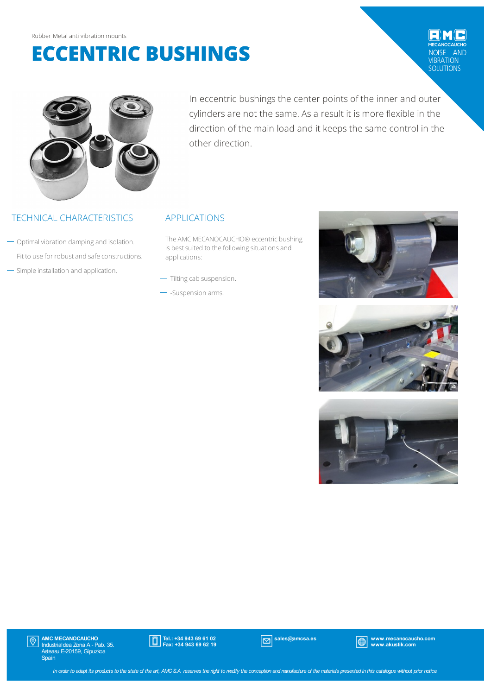# **ECCENTRIC BUSHINGS**

## **AND** VIBRATION<br>SOLUTIONS



In eccentric bushings the center points of the inner and outer cylinders are not the same. As a result it is more flexible in the direction of the main load and it keeps the same control in the other direction.

### TECHNICAL CHARACTERISTICS APPLICATIONS

- $\rightarrow$  Optimal vibration damping and isolation.
- $-$  Fit to use for robust and safe constructions.
- Simple installation and application.

The AMC MECANOCAUCHO® eccentric bushing is best suited to the following situations and applications:

- $-$  Tilting cab suspension.
- Suspension arms.







AMC MECANOCAUCHO Industrialdea Zona A - Pab. 35. Asteasu E-20159, Gipuzkoa Spain  $|\mathbb{Q}|$ 



sales@amcsa.es www.mecanocaucho.com www.akustik.com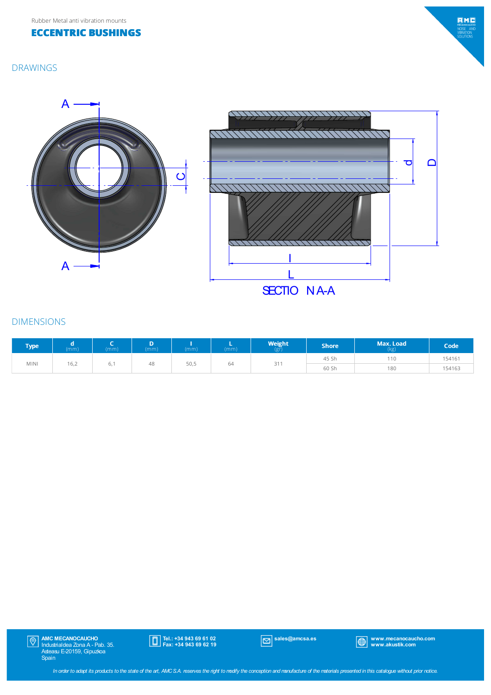#### **ECCENTRIC BUSHINGS**

## $EMC$ MECANOCAUGH<br>NOISE AN<br>VIBRATION<br>SOLUTIONS

#### DRAWINGS



#### DIMENSIONS

| <b>Type</b> | (mm) | (mm) | (mm) | (mm) | (mm) | <b>Weight</b><br>(gr) | <b>Shore</b> | Max. Load<br>(kg) | Code   |
|-------------|------|------|------|------|------|-----------------------|--------------|-------------------|--------|
|             |      |      |      |      |      |                       | 45 Sh        | 110               | 154161 |
| <b>MINI</b> | 16,2 | о,   | 48   | 50,5 | 64   | 311                   | 60 Sh        | 180               | 154163 |

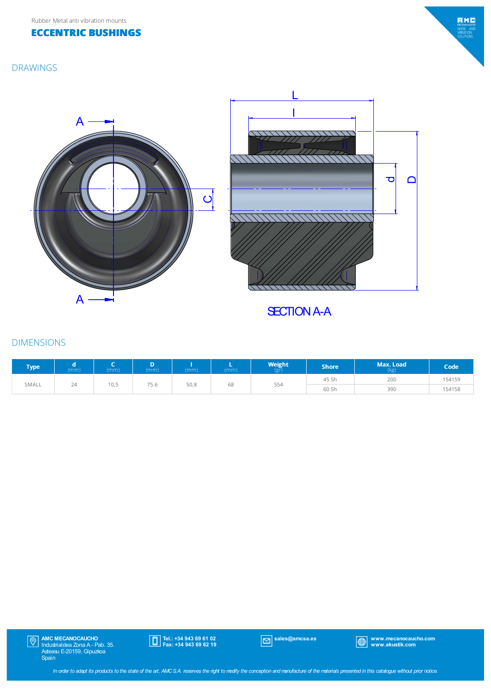DRAWINGS

#### **ECCENTRIC BUSHINGS**

# $EMC$ MECANOCAUGH<br>NOISE AN<br>VIBRATION<br>SOLUTIONS

# A A  $\overline{\mathbf{o}}$



**SECTION A-A** 

### DIMENSIONS

| <b>Type</b> | (mm) | (mm) | (mm)  | (mm) | (mm) | Weight<br>(gr) | <b>Shore</b> | Max. Load <b>b</b><br>(kg) | Code <sup>1</sup> |
|-------------|------|------|-------|------|------|----------------|--------------|----------------------------|-------------------|
|             |      |      | $- -$ |      |      |                | 45 Sh        | 200                        | 154159            |
| SMALL       | 24   | 10,5 | 75.b  | 50,8 | 68   | 554            | 60 Sh        | 390                        | 154158            |



Tel.: +34 943 69 61 02 Fax: +34 943 69 62 19

sales@amcsa.es www.mecanocaucho.com www.akustik.com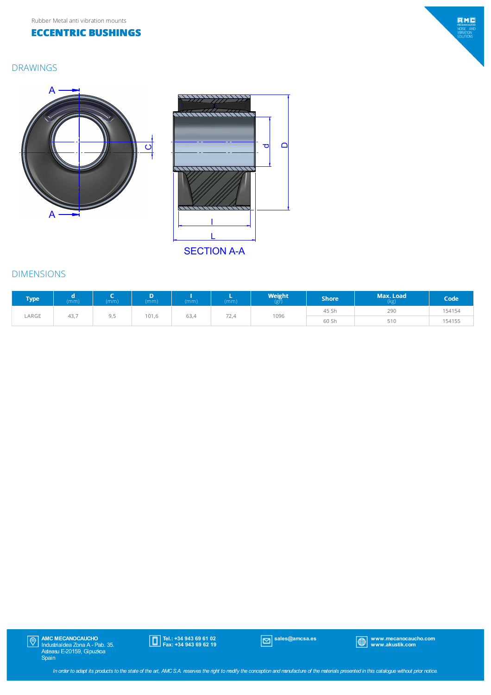#### **ECCENTRIC BUSHINGS**

#### DRAWINGS





**SECTION A-A** 

#### DIMENSIONS

| <b>Type</b> | (mm) | (mm) | D<br>(mm) | (mm) | (mm) | $W$ eight | Shore <sup>l</sup> | Max. Load<br>(kg) | Code   |
|-------------|------|------|-----------|------|------|-----------|--------------------|-------------------|--------|
|             |      |      |           |      |      |           | 45 Sh              | 290               | 154154 |
| LARGE       | 43,7 | 9,5  | 101,6     | 63,4 | 72,4 | 1096      | 60 Sh              | 510               | 154155 |



sales@amcsa.es www.mecanocaucho.com www.akustik.com

 $EMC$ MECANOCAUGH<br>NOISE AN<br>VIBRATION<br>SOLUTIONS

In order to adapt its products to the state of the art, AMCS.A. reserves the right to modify the conception and manufacture of the materials presented in this catalogue without prior notice.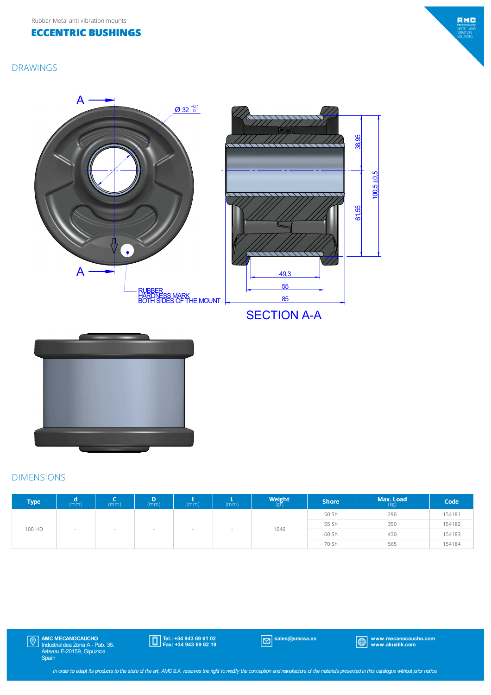



#### DRAWINGS



## **SECTION A-A**



#### DIMENSIONS

| <b>Type</b> | (mm)                     | (mm)                     | (mm)                     | (mm)                  | (mm)                     | $Weight_{(gr)}$        | <b>Shore</b> | Max. Load<br>(kg) | Code   |
|-------------|--------------------------|--------------------------|--------------------------|-----------------------|--------------------------|------------------------|--------------|-------------------|--------|
|             |                          |                          |                          |                       |                          | 50 Sh<br>55 Sh<br>1046 |              | 290               | 154181 |
|             |                          |                          |                          |                       |                          |                        | 350          | 154182            |        |
| 100 HD      | $\overline{\phantom{a}}$ | $\overline{\phantom{a}}$ | $\overline{\phantom{a}}$ | <b>College Street</b> | $\overline{\phantom{a}}$ |                        | 60 Sh        | 430<br>565        | 154183 |
|             |                          |                          |                          |                       |                          |                        | 70 Sh        |                   | 154184 |

AMC MECANOCAUCHO Industrialdea Zona A - Pab. 35. Asteasu E-20159, Gipuzkoa Spain

Tel.: +34 943 69 61 02 Fax: +34 943 69 62 19

sales@amcsa.es www.mecanocaucho.com www.akustik.com

In order to adapt its products to the state of the art, AMCS.A. reserves the right to modify the conception and manufacture of the materials presented in this catalogue without prior notice.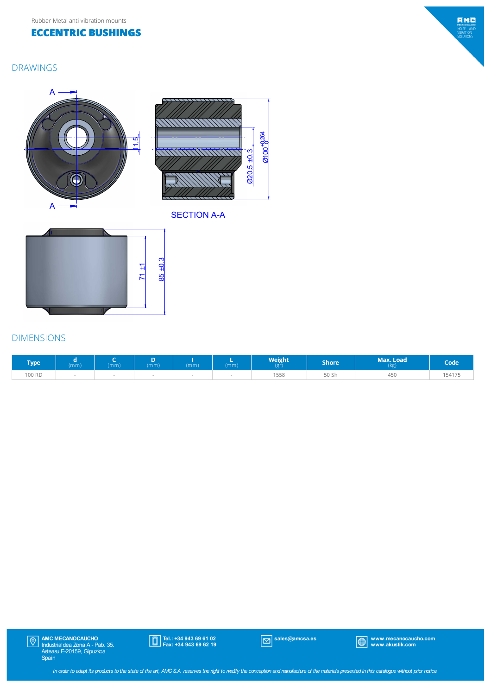#### **ECCENTRIC BUSHINGS**

#### DRAWINGS







#### SECTION A-A



#### DIMENSIONS

| Гуре   | (mm) | (mm) | (mm) | (mm) | mm) | Weight<br>NSI). | Shore <sup>l</sup>    | Max. Load<br>(kg) | <b>Code</b> |
|--------|------|------|------|------|-----|-----------------|-----------------------|-------------------|-------------|
| 100 RD |      |      |      |      |     | $= - -$<br>.558 | FO CH<br><b>DU PU</b> | 450               | 154175      |



Tel.: +34 943 69 61 02 Fax: +34 943 69 62 19



sales@amcsa.es www.mecanocaucho.com www.akustik.com